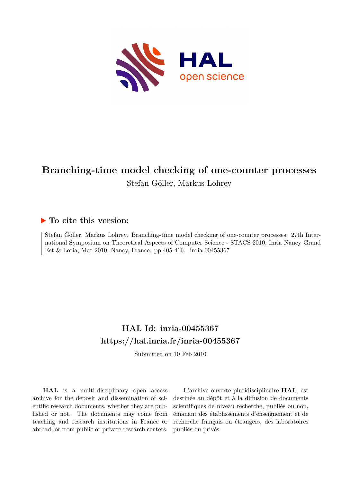

## **Branching-time model checking of one-counter processes** Stefan Göller, Markus Lohrey

# **To cite this version:**

Stefan Göller, Markus Lohrey. Branching-time model checking of one-counter processes. 27th International Symposium on Theoretical Aspects of Computer Science - STACS 2010, Inria Nancy Grand Est & Loria, Mar 2010, Nancy, France. pp.405-416. inria-00455367

## **HAL Id: inria-00455367 <https://hal.inria.fr/inria-00455367>**

Submitted on 10 Feb 2010

**HAL** is a multi-disciplinary open access archive for the deposit and dissemination of scientific research documents, whether they are published or not. The documents may come from teaching and research institutions in France or abroad, or from public or private research centers.

L'archive ouverte pluridisciplinaire **HAL**, est destinée au dépôt et à la diffusion de documents scientifiques de niveau recherche, publiés ou non, émanant des établissements d'enseignement et de recherche français ou étrangers, des laboratoires publics ou privés.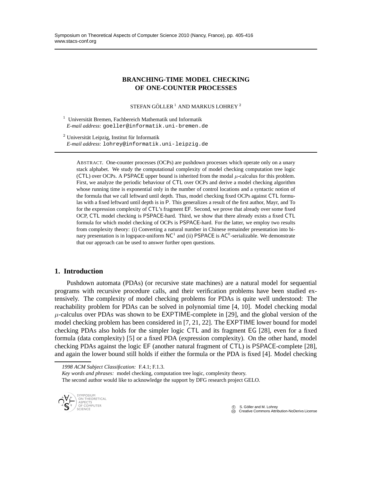## **BRANCHING-TIME MODEL CHECKING OF ONE-COUNTER PROCESSES**

STEFAN GÖLLER<sup>1</sup> AND MARKUS LOHREY<sup>2</sup>

<sup>1</sup> Universität Bremen, Fachbereich Mathematik und Informatik *E-mail address*: goeller@informatik.uni-bremen.de

 $2$  Universität Leipzig, Institut für Informatik *E-mail address*: lohrey@informatik.uni-leipzig.de

ABSTRACT. One-counter processes (OCPs) are pushdown processes which operate only on a unary stack alphabet. We study the computational complexity of model checking computation tree logic (CTL) over OCPs. A PSPACE upper bound is inherited from the modal  $\mu$ -calculus for this problem. First, we analyze the periodic behaviour of CTL over OCPs and derive a model checking algorithm whose running time is exponential only in the number of control locations and a syntactic notion of the formula that we call leftward until depth. Thus, model checking fixed OCPs against CTL formulas with a fixed leftward until depth is in P. This generalizes a result of the first author, Mayr, and To for the expression complexity of CTL's fragment EF. Second, we prove that already over some fixed OCP, CTL model checking is PSPACE-hard. Third, we show that there already exists a fixed CTL formula for which model checking of OCPs is PSPACE-hard. For the latter, we employ two results from complexity theory: (i) Converting a natural number in Chinese remainder presentation into binary presentation is in logspace-uniform  $NC^1$  and (ii) PSPACE is AC<sup>0</sup>-serializable. We demonstrate that our approach can be used to answer further open questions.

## **1. Introduction**

Pushdown automata (PDAs) (or recursive state machines) are a natural model for sequential programs with recursive procedure calls, and their verification problems have been studied extensively. The complexity of model checking problems for PDAs is quite well understood: The reachability problem for PDAs can be solved in polynomial time [4, 10]. Model checking modal  $\mu$ -calculus over PDAs was shown to be EXPTIME-complete in [29], and the global version of the model checking problem has been considered in [7, 21, 22]. The EXPTIME lower bound for model checking PDAs also holds for the simpler logic CTL and its fragment EG [28], even for a fixed formula (data complexity) [5] or a fixed PDA (expression complexity). On the other hand, model checking PDAs against the logic EF (another natural fragment of CTL) is PSPACE-complete [28], and again the lower bound still holds if either the formula or the PDA is fixed [4]. Model checking

*1998 ACM Subject Classification:* F.4.1; F.1.3.

*Key words and phrases:* model checking, computation tree logic, complexity theory. The second author would like to acknowledge the support by DFG research project GELO.



 $\circled{c}$  S. Göller and M. Lohrey CCC Creative Commons Attribution-NoDerivs License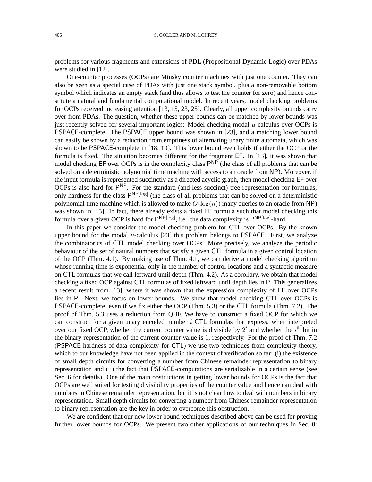problems for various fragments and extensions of PDL (Propositional Dynamic Logic) over PDAs were studied in [12].

One-counter processes (OCPs) are Minsky counter machines with just one counter. They can also be seen as a special case of PDAs with just one stack symbol, plus a non-removable bottom symbol which indicates an empty stack (and thus allows to test the counter for zero) and hence constitute a natural and fundamental computational model. In recent years, model checking problems for OCPs received increasing attention [13, 15, 23, 25]. Clearly, all upper complexity bounds carry over from PDAs. The question, whether these upper bounds can be matched by lower bounds was just recently solved for several important logics: Model checking modal  $\mu$ -calculus over OCPs is PSPACE-complete. The PSPACE upper bound was shown in [23], and a matching lower bound can easily be shown by a reduction from emptiness of alternating unary finite automata, which was shown to be PSPACE-complete in [18, 19]. This lower bound even holds if either the OCP or the formula is fixed. The situation becomes different for the fragment EF. In [13], it was shown that model checking EF over OCPs is in the complexity class  $P^{NP}$  (the class of all problems that can be solved on a deterministic polynomial time machine with access to an oracle from NP). Moreover, if the input formula is represented succinctly as a directed acyclic graph, then model checking EF over OCPs is also hard for  $P^{NP}$ . For the standard (and less succinct) tree representation for formulas, only hardness for the class  $P^{NP[log]}$  (the class of all problems that can be solved on a deterministic polynomial time machine which is allowed to make  $O(log(n))$  many queries to an oracle from NP) was shown in [13]. In fact, there already exists a fixed EF formula such that model checking this formula over a given OCP is hard for  $P^{\text{NP[log]}},$  i.e., the data complexity is  $P^{\text{NP[log]}}$ -hard.

In this paper we consider the model checking problem for CTL over OCPs. By the known upper bound for the modal  $\mu$ -calculus [23] this problem belongs to PSPACE. First, we analyze the combinatorics of CTL model checking over OCPs. More precisely, we analyze the periodic behaviour of the set of natural numbers that satisfy a given CTL formula in a given control location of the OCP (Thm. 4.1). By making use of Thm. 4.1, we can derive a model checking algorithm whose running time is exponential only in the number of control locations and a syntactic measure on CTL formulas that we call leftward until depth (Thm. 4.2). As a corollary, we obtain that model checking a fixed OCP against CTL formulas of fixed leftward until depth lies in P. This generalizes a recent result from [13], where it was shown that the expression complexity of EF over OCPs lies in P. Next, we focus on lower bounds. We show that model checking CTL over OCPs is PSPACE-complete, even if we fix either the OCP (Thm. 5.3) or the CTL formula (Thm. 7.2). The proof of Thm. 5.3 uses a reduction from QBF. We have to construct a fixed OCP for which we can construct for a given unary encoded number  $i$  CTL formulas that express, when interpreted over our fixed OCP, whether the current counter value is divisible by  $2^i$  and whether the  $i^{\text{th}}$  bit in the binary representation of the current counter value is 1, respectively. For the proof of Thm. 7.2 (PSPACE-hardness of data complexity for CTL) we use two techniques from complexity theory, which to our knowledge have not been applied in the context of verification so far: (i) the existence of small depth circuits for converting a number from Chinese remainder representation to binary representation and (ii) the fact that PSPACE-computations are serializable in a certain sense (see Sec. 6 for details). One of the main obstructions in getting lower bounds for OCPs is the fact that OCPs are well suited for testing divisibility properties of the counter value and hence can deal with numbers in Chinese remainder representation, but it is not clear how to deal with numbers in binary representation. Small depth circuits for converting a number from Chinese remainder representation to binary representation are the key in order to overcome this obstruction.

We are confident that our new lower bound techniques described above can be used for proving further lower bounds for OCPs. We present two other applications of our techniques in Sec. 8: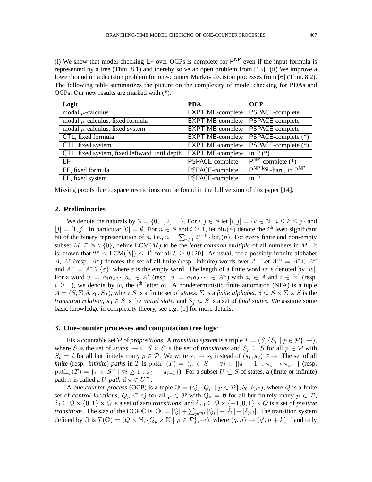(i) We show that model checking  $EF$  over OCPs is complete for  $P^{NP}$  even if the input formula is represented by a tree (Thm. 8.1) and thereby solve an open problem from [13]. (ii) We improve a lower bound on a decision problem for one-counter Markov decision processes from [6] (Thm. 8.2). The following table summarizes the picture on the complexity of model checking for PDAs and OCPs. Our new results are marked with (\*).

| Logic                                         | <b>PDA</b>              | <b>OCP</b>                       |
|-----------------------------------------------|-------------------------|----------------------------------|
| modal $\mu$ -calculus                         | EXPTIME-complete        | PSPACE-complete                  |
| modal $\mu$ -calculus, fixed formula          | <b>EXPTIME-complete</b> | PSPACE-complete                  |
| modal $\mu$ -calculus, fixed system           | EXPTIME-complete        | PSPACE-complete                  |
| CTL, fixed formula                            | EXPTIME-complete        | PSPACE-complete (*)              |
| CTL, fixed system                             | EXPTIME-complete        | PSPACE-complete (*)              |
| CTL, fixed system, fixed leftward until depth | <b>EXPTIME-complete</b> | in $P(*)$                        |
| EF                                            | PSPACE-complete         | $\overline{P^{NP}$ -complete (*) |
| EF, fixed formula                             | PSPACE-complete         | PNP[log]-hard, in PNP            |
| EF, fixed system                              | PSPACE-complete         | in P                             |

Missing proofs due to space restrictions can be found in the full version of this paper [14].

## **2. Preliminaries**

We denote the naturals by  $\mathbb{N} = \{0, 1, 2, \ldots\}$ . For  $i, j \in \mathbb{N}$  let  $[i, j] = \{k \in \mathbb{N} \mid i \le k \le j\}$  and  $[j] = [1, j]$ . In particular  $[0] = \emptyset$ . For  $n \in \mathbb{N}$  and  $i \ge 1$ , let bit<sub>i</sub> $(n)$  denote the i<sup>th</sup> least significant bit of the binary representation of n, i.e.,  $n = \sum_{i \geq 1} 2^{i-1} \cdot \text{bit}_i(n)$ . For every finite and non-empty subset  $M \subseteq \mathbb{N} \setminus \{0\}$ , define LCM(M) to be the *least common multiple* of all numbers in M. It is known that  $2^k \le LCM([k]) \le 4^k$  for all  $k \ge 9$  [20]. As usual, for a possibly infinite alphabet A,  $A^*$  (resp.  $A^{\omega}$ ) denotes the set of all finite (resp. infinite) words over A. Let  $A^{\infty} = A^* \cup A^{\omega}$ and  $A^+ = A^* \setminus {\varepsilon}$ , where  $\varepsilon$  is the empty word. The length of a finite word w is denoted by  $|w|$ . For a word  $w = a_1 a_2 \cdots a_n \in A^*$  (resp.  $w = a_1 a_2 \cdots \in A^{\omega}$ ) with  $a_i \in A$  and  $i \in [n]$  (resp.  $i \geq 1$ ), we denote by  $w_i$  the i<sup>th</sup> letter  $a_i$ . A nondeterministic finite automaton (NFA) is a tuple  $A = (S, \Sigma, \delta, s_0, S_f)$ , where S is a finite set of *states*,  $\Sigma$  is a *finite alphabet*,  $\delta \subseteq S \times \Sigma \times S$  is the *transition relation,*  $s_0 \in S$  is the *initial state,* and  $S_f \subseteq S$  is a set of *final states*. We assume some basic knowledge in complexity theory, see e.g. [1] for more details.

#### **3. One-counter processes and computation tree logic**

Fix a countable set P of *propositions*. A *transition system* is a triple  $T = (S, \{S_p \mid p \in \mathcal{P}\}, \rightarrow)$ , where S is the set of *states*,  $\rightarrow \subseteq S \times S$  is the set of *transitions* and  $S_p \subseteq S$  for all  $p \in \mathcal{P}$  with  $S_p = \emptyset$  for all but finitely many  $p \in \mathcal{P}$ . We write  $s_1 \to s_2$  instead of  $(s_1, s_2) \in \to$ . The set of all *finite* (resp. *infinite*) *paths* in T is  $path_{+}(T) = \{\pi \in S^{+} \mid \forall i \in [|\pi| - 1] : \pi_{i} \to \pi_{i+1}\}$  (resp.  $\text{path}_{\omega}(T) = \{ \pi \in S^{\omega} \mid \forall i \geq 1 : \pi_i \to \pi_{i+1} \}$ . For a subset  $U \subseteq S$  of states, a (finite or infinite) path  $\pi$  is called a *U*-path if  $\pi \in U^{\infty}$ .

A *one-counter process* (OCP) is a tuple  $\mathbb{O} = (Q, \{Q_p \mid p \in \mathcal{P}\}, \delta_0, \delta_{>0})$ , where Q is a finite set of *control locations*,  $Q_p \subseteq Q$  for all  $p \in P$  with  $Q_p = \emptyset$  for all but finitely many  $p \in P$ ,  $\delta_0 \subseteq Q \times \{0,1\} \times Q$  is a set of *zero transitions*, and  $\delta_{>0} \subseteq Q \times \{-1,0,1\} \times Q$  is a set of *positive transitions*. The *size* of the OCP  $\circledcirc$  is  $|\circledcirc| = |Q| + \sum_{p \in \mathcal{P}} |Q_p| + |\delta_0| + |\delta_{>0}|$ . The transition system defined by  $\mathbb{O}$  is  $T(\mathbb{O}) = (Q \times \mathbb{N}, \{Q_p \times \mathbb{N} \mid p \in \mathcal{P}\}, \rightarrow)$ , where  $(q, n) \rightarrow (q', n + k)$  if and only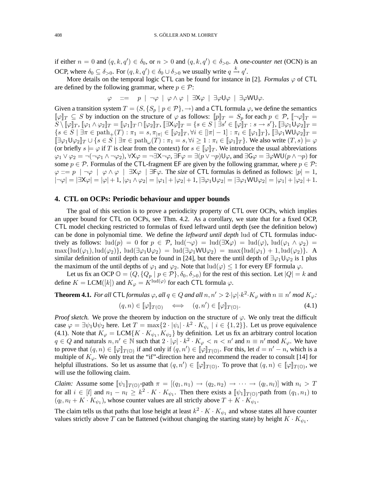if either  $n = 0$  and  $(q, k, q') \in \delta_0$ , or  $n > 0$  and  $(q, k, q') \in \delta_{> 0}$ . A *one-counter net* (OCN) is an OCP, where  $\delta_0 \subseteq \delta_{>0}$ . For  $(q, k, q') \in \delta_0 \cup \delta_{>0}$  we usually write  $q \stackrel{k}{\rightarrow} q'$ .

More details on the temporal logic CTL can be found for instance in [2]. *Formulas*  $\varphi$  of CTL are defined by the following grammar, where  $p \in \mathcal{P}$ :

$$
\varphi \quad ::= \quad p \mid \neg \varphi \mid \varphi \land \varphi \mid \exists X \varphi \mid \exists \varphi U \varphi \mid \exists \varphi W U \varphi.
$$

Given a transition system  $T = (S, \{S_p \mid p \in \mathcal{P}\}, \rightarrow)$  and a CTL formula  $\varphi$ , we define the semantics  $[\![\varphi]\!]_T \subseteq S$  by induction on the structure of  $\varphi$  as follows:  $[\![p]\!]_T = S_p$  for each  $p \in \mathcal{P}$ ,  $[\![\neg \varphi]\!]_T =$  $\widetilde{S} \,\check{\setminus}\, \llbracket \varphi \rrbracket_T, \, \llbracket \varphi_1 \wedge \varphi_2 \rrbracket_T = \llbracket \varphi_1 \rrbracket_T \cap \llbracket \varphi_2 \rrbracket_T, \, \llbracket \exists \mathsf{X} \varphi \rrbracket_T = \{ s \in S \mid \exists s' \in \llbracket \varphi \rrbracket_T : s \to s' \}, \, \llbracket \exists \varphi_1 \mathsf{\tilde{U}} \varphi_2 \rrbracket_T =$  $\{s \in S \mid \exists \pi \in \text{path}_{+}(T) : \pi_1 = s, \pi_{|\pi|} \in [\varphi_2]_T, \forall i \in [\pi] - 1] : \pi_i \in [\varphi_1]_T\},\ [\exists \varphi_1 \textsf{WU} \varphi_2]_T =$  $[\exists \varphi_1 \cup \varphi_2]_T \cup \{s \in S \mid \exists \pi \in \text{path}_{\omega}(T) : \pi_1 = s, \forall i \geq 1 : \pi_i \in [\![ \varphi_1 ]\!]_T\}$ . We also write  $(T, s) \models \varphi$ (or briefly  $s \models \varphi$  if T is clear from the context) for  $s \in [\varphi]_T$ . We introduce the usual abbreviations  $\varphi_1 \vee \varphi_2 = \neg(\neg \varphi_1 \wedge \neg \varphi_2), \forall X \varphi = \neg \exists X \neg \varphi, \exists F \varphi = \exists (p \vee \neg p) \cup \varphi, \text{ and } \exists G \varphi = \exists \varphi \textsf{WU}(p \wedge \neg p) \text{ for }$ some  $p \in \mathcal{P}$ . Formulas of the CTL-fragment EF are given by the following grammar, where  $p \in \mathcal{P}$ :  $\varphi ::= p \mid \neg \varphi \mid \varphi \land \varphi \mid \exists K \varphi \mid \exists F \varphi$ . The *size* of CTL formulas is defined as follows:  $|p| = 1$ ,  $|\neg\varphi|=|\exists X\varphi|=|\varphi|+1, |\varphi_1\wedge\varphi_2|=|\varphi_1|+|\varphi_2|+1, |\exists\varphi_1\mathsf{U}\varphi_2|=|\exists\varphi_1\mathsf{W}\mathsf{U}\varphi_2|=|\varphi_1|+|\varphi_2|+1.$ 

#### **4. CTL on OCPs: Periodic behaviour and upper bounds**

The goal of this section is to prove a periodicity property of CTL over OCPs, which implies an upper bound for CTL on OCPs, see Thm. 4.2. As a corollary, we state that for a fixed OCP, CTL model checking restricted to formulas of fixed leftward until depth (see the definition below) can be done in polynomial time. We define the *leftward until depth* lud of CTL formulas inductively as follows:  $\text{Ind}(p) = 0$  for  $p \in \mathcal{P}$ ,  $\text{Ind}(\neg \varphi) = \text{Ind}(\exists X \varphi) = \text{Ind}(\varphi)$ ,  $\text{Ind}(\varphi_1 \wedge \varphi_2) =$  $\max\{\text{lud}(\varphi_1), \text{lud}(\varphi_2)\}, \text{lud}(\exists \varphi_1 \mathsf{U} \varphi_2) = \text{lud}(\exists \varphi_1 \mathsf{W} \mathsf{U} \varphi_2) = \max\{\text{lud}(\varphi_1) + 1, \text{lud}(\varphi_2)\}.$  A similar definition of until depth can be found in [24], but there the until depth of  $\exists \varphi_1 \cup \varphi_2$  is 1 plus the maximum of the until depths of  $\varphi_1$  and  $\varphi_2$ . Note that  $\text{Ind}(\varphi) \leq 1$  for every EF formula  $\varphi$ .

Let us fix an OCP  $\mathbb{O} = (Q, \{Q_p \mid p \in \mathcal{P}\}, \delta_0, \delta_{>0})$  for the rest of this section. Let  $|Q| = k$  and define  $K = \text{LCM}([k])$  and  $K_{\varphi} = K^{\text{lud}(\varphi)}$  for each CTL formula  $\varphi$ .

#### **Theorem 4.1.** For all CTL formulas  $\varphi$ , all  $q \in Q$  and all  $n, n' > 2 \cdot |\varphi| \cdot k^2 \cdot K_{\varphi}$  with  $n \equiv n' \mod K_{\varphi}$ .  $(q,n) \in [\![\varphi]\!]_{T(\mathbb{O})} \iff (q,n') \in [\![\varphi]\!]_{T(\mathbb{O})}$  $(4.1)$

*Proof sketch.* We prove the theorem by induction on the structure of  $\varphi$ . We only treat the difficult case  $\varphi = \exists \psi_1 \mathsf{U} \psi_2$  here. Let  $T = \max\{2 \cdot |\psi_i| \cdot k^2 \cdot K_{\psi_i} \mid i \in \{1, 2\}\}\.$  Let us prove equivalence (4.1). Note that  $K_{\varphi} = LCM\{K \cdot K_{\psi_1}, K_{\psi_2}\}$  by definition. Let us fix an arbitrary control location  $q \in Q$  and naturals  $n, n' \in \mathbb{N}$  such that  $2 \cdot |\varphi| \cdot k^2 \cdot K_{\varphi} < n < n'$  and  $n \equiv n' \mod K_{\varphi}$ . We have to prove that  $(q, n) \in [\![\varphi]\!]_{T(\mathbb{O})}$  if and only if  $(q, n') \in [\![\varphi]\!]_{T(\mathbb{O})}$ . For this, let  $d = n' - n$ , which is a multiple of  $K_{\varphi}$ . We only treat the "if"-direction here and recommend the reader to consult [14] for helpful illustrations. So let us assume that  $(q, n') \in [\![\varphi]\!]_{T(\mathbb{O})}$ . To prove that  $(q, n) \in [\![\varphi]\!]_{T(\mathbb{O})}$ , we will use the following claim.

*Claim:* Assume some  $[\![\psi_1]\!]_{T(\mathbb{O})}$ -path  $\pi = [(q_1, n_1) \to (q_2, n_2) \to \cdots \to (q_l, n_l)]$  with  $n_i > T$ for all  $i \in [l]$  and  $n_1 - n_l \geq k^2 \cdot K \cdot K_{\psi_1}$ . Then there exists a  $[\![\psi_1]\!]_{T(\mathbb{O})}$ -path from  $(q_1, n_1)$  to  $(q_l, n_l + K \cdot K_{\psi_1})$ , whose counter values are all strictly above  $T + K \cdot K_{\psi_1}$ .

The claim tells us that paths that lose height at least  $k^2 \cdot K \cdot K_{\psi_1}$  and whose states all have counter values strictly above T can be flattened (without changing the starting state) by height  $K \cdot K_{\psi_1}$ .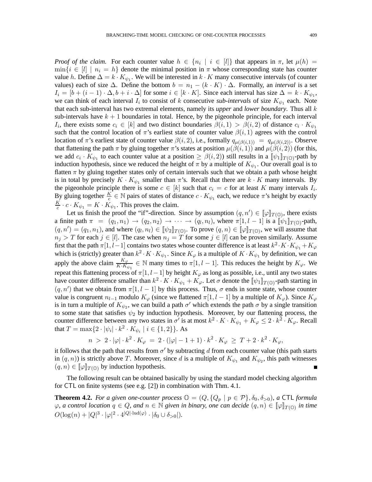*Proof of the claim.* For each counter value  $h \in \{n_i \mid i \in [l]\}$  that appears in  $\pi$ , let  $\mu(h)$  =  $\min\{i \in [l] \mid n_i = h\}$  denote the minimal position in  $\pi$  whose corresponding state has counter value h. Define  $\Delta = k \cdot K_{\psi_1}$ . We will be interested in  $k \cdot K$  many consecutive intervals (of counter values) each of size  $\Delta$ . Define the bottom  $b = n_1 - (k \cdot K) \cdot \Delta$ . Formally, an *interval* is a set  $I_i = [b + (i - 1) \cdot \Delta, b + i \cdot \Delta]$  for some  $i \in [k \cdot K]$ . Since each interval has size  $\Delta = k \cdot K_{\psi_1}$ , we can think of each interval  $I_i$  to consist of k consecutive *sub-intervals* of size  $K_{\psi_1}$  each. Note that each sub-interval has two extremal elements, namely its *upper* and *lower boundary*. Thus all k sub-intervals have  $k + 1$  boundaries in total. Hence, by the pigeonhole principle, for each interval  $I_i$ , there exists some  $c_i \in [k]$  and two distinct boundaries  $\beta(i,1) > \beta(i,2)$  of distance  $c_i \cdot K_{\psi_1}$ such that the control location of  $\pi$ 's earliest state of counter value  $\beta(i,1)$  agrees with the control location of  $\pi$ 's earliest state of counter value  $\beta(i, 2)$ , i.e., formally  $q_{\mu(\beta(i,1))} = q_{\mu(\beta(i,2))}$ . Observe that flattening the path  $\pi$  by gluing together  $\pi$ 's states at position  $\mu(\beta(i, 1))$  and  $\mu(\beta(i, 2))$  (for this, we add  $c_i \cdot K_{\psi_1}$  to each counter value at a position  $\geq \beta(i, 2)$  still results in a  $[\![\psi_1]\!]_{T(\mathbb{O})}$ -path by induction hypothesis, since we reduced the height of  $\pi$  by a multiple of  $K_{\psi_1}$ . Our overall goal is to flatten  $\pi$  by gluing together states only of certain intervals such that we obtain a path whose height is in total by precisely  $K \cdot K_{\psi_1}$  smaller than  $\pi$ 's. Recall that there are  $k \cdot K$  many intervals. By the pigeonhole principle there is some  $c \in [k]$  such that  $c_i = c$  for at least K many intervals  $I_i$ . By gluing together  $\frac{K}{c} \in \mathbb{N}$  pairs of states of distance  $c \cdot K_{\psi_1}$  each, we reduce  $\pi$ 's height by exactly K  $\frac{\kappa}{c} \cdot c \cdot K_{\psi_1} = K \cdot K_{\psi_1}$ . This proves the claim.

Let us finish the proof the "if"-direction. Since by assumption  $(q, n') \in [\![\varphi]\!]_{T(\mathbb{O})}$ , there exists a finite path  $\pi = (q_1, n_1) \rightarrow (q_2, n_2) \rightarrow \cdots \rightarrow (q_l, n_l)$ , where  $\pi[1, l-1]$  is a  $[\![\psi_1]\!]_{T(\mathbb{O})}$ -path,  $(q, n') = (q_1, n_1)$ , and where  $(q_l, n_l) \in [\![\psi_2]\!]_{T(\mathbb{O})}$ . To prove  $(q, n) \in [\![\varphi]\!]_{T(\mathbb{O})}$ , we will assume that  $n_j > T$  for each  $j \in [l]$ . The case when  $n_j = T$  for some  $j \in [l]$  can be proven similarly. Assume first that the path  $\pi[1,l-1]$  contains two states whose counter difference is at least  $k^2 \cdot K \cdot K_{\psi_1} + K_{\varphi_2}$ which is (strictly) greater than  $k^2 \cdot K \cdot K_{\psi_1}$ . Since  $K_{\varphi}$  is a multiple of  $K \cdot K_{\psi_1}$  by definition, we can apply the above claim  $\frac{K_{\varphi}}{K \cdot K_{\psi_1}} \in \mathbb{N}$  many times to  $\pi[1, l-1]$ . This reduces the height by  $K_{\varphi}$ . We repeat this flattening process of  $\pi[1,l-1]$  by height  $K_{\varphi}$  as long as possible, i.e., until any two states have counter difference smaller than  $k^2 \cdot K \cdot K_{\psi_1} + K_\varphi$ . Let  $\sigma$  denote the  $[\![\psi_1]\!]_{T(\mathbb{O})}$ -path starting in  $(q, n')$  that we obtain from  $\pi[1, l - 1]$  by this process. Thus,  $\sigma$  ends in some state, whose counter value is congruent  $n_{l-1}$  modulo  $K_{\varphi}$  (since we flattened  $\pi[1,l-1]$  by a multiple of  $K_{\varphi}$ ). Since  $K_{\varphi}$ is in turn a multiple of  $K_{\psi_2}$ , we can build a path  $\sigma'$  which extends the path  $\sigma$  by a single transition to some state that satisfies  $\psi_2$  by induction hypothesis. Moreover, by our flattening process, the counter difference between any two states in  $\sigma'$  is at most  $k^2 \cdot K \cdot K_{\psi_1} + K_{\varphi} \leq 2 \cdot k^2 \cdot K_{\varphi}$ . Recall that  $T = \max\{2 \cdot |\psi_i| \cdot k^2 \cdot K_{\psi_i} \mid i \in \{1, 2\}\}\.$  As

$$
n > 2 \cdot |\varphi| \cdot k^2 \cdot K_{\varphi} = 2 \cdot (|\varphi| - 1 + 1) \cdot k^2 \cdot K_{\varphi} \geq T + 2 \cdot k^2 \cdot K_{\varphi},
$$

it follows that the path that results from  $\sigma'$  by subtracting d from each counter value (this path starts in  $(q, n)$ ) is strictly above T. Moreover, since d is a multiple of  $K_{\psi_1}$  and  $K_{\psi_2}$ , this path witnesses  $(q, n) \in [\![\varphi]\!]_{T(\mathbb{O})}$  by induction hypothesis.

The following result can be obtained basically by using the standard model checking algorithm for CTL on finite systems (see e.g. [2]) in combination with Thm. 4.1.

**Theorem 4.2.** *For a given one-counter process*  $\mathbb{O} = (Q, \{Q_p \mid p \in \mathcal{P}\}, \delta_0, \delta_{>0})$ *, a* CTL *formula*  $\varphi$ , a control location  $q \in Q$ , and  $n \in \mathbb{N}$  given in binary, one can decide  $(q, n) \in [\![\varphi]\!]_{T(\mathbb{O})}$  in time  $O(\log(n) + |Q|^3 \cdot |\varphi|^2 \cdot 4^{|Q| \cdot \text{Ind}(\varphi)} \cdot |\delta_0 \cup \delta_{>0}|).$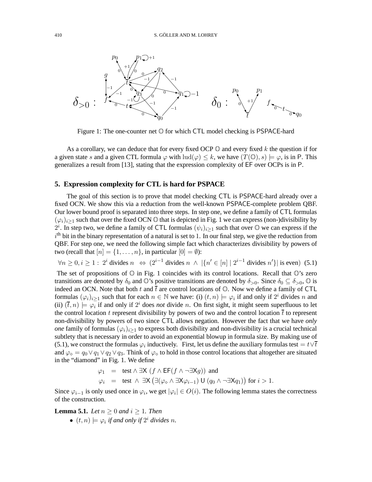

Figure 1: The one-counter net O for which CTL model checking is PSPACE-hard

As a corollary, we can deduce that for every fixed OCP  $\mathbb{O}$  and every fixed k the question if for a given state s and a given CTL formula  $\varphi$  with  $\text{Ind}(\varphi) \leq k$ , we have  $(T(\mathbb{O}), s) \models \varphi$ , is in P. This generalizes a result from [13], stating that the expression complexity of EF over OCPs is in P.

## **5. Expression complexity for CTL is hard for PSPACE**

The goal of this section is to prove that model checking CTL is PSPACE-hard already over a fixed OCN. We show this via a reduction from the well-known PSPACE-complete problem QBF. Our lower bound proof is separated into three steps. In step one, we define a family of CTL formulas  $(\varphi_i)_{i\geq 1}$  such that over the fixed OCN  $\mathbb O$  that is depicted in Fig. 1 we can express (non-)divisibility by  $2^i$ . In step two, we define a family of CTL formulas  $(\psi_i)_{i\geq 1}$  such that over  $\mathbb O$  we can express if the  $i<sup>th</sup>$  bit in the binary representation of a natural is set to 1. In our final step, we give the reduction from QBF. For step one, we need the following simple fact which characterizes divisibility by powers of two (recall that  $[n] = \{1, \ldots, n\}$ , in particular  $[0] = \emptyset$ ):

 $\forall n \geq 0, i \geq 1$ : 2<sup>*i*</sup> divides  $n \Leftrightarrow (2^{i-1} \text{ divides } n \wedge |\{n' \in [n] \mid 2^{i-1} \text{ divides } n'\}| \text{ is even})$  (5.1)

The set of propositions of  $\mathbb O$  in Fig. 1 coincides with its control locations. Recall that  $\mathbb O$ 's zero transitions are denoted by  $\delta_0$  and  $\mathbb{O}$ 's positive transitions are denoted by  $\delta_{>0}$ . Since  $\delta_0 \subseteq \delta_{>0}$ ,  $\mathbb{O}$  is indeed an OCN. Note that both t and  $\bar{t}$  are control locations of  $\mathbb{O}$ . Now we define a family of CTL formulas  $(\varphi_i)_{i\geq 1}$  such that for each  $n \in \mathbb{N}$  we have: (i)  $(t, n) \models \varphi_i$  if and only if  $2^i$  divides n and (ii)  $(\bar{t}, n) \models \varphi_i$  if and only if  $2^i$  does *not* divide n. On first sight, it might seem superfluous to let the control location t represent divisibility by powers of two and the control location  $\bar{t}$  to represent non-divisibility by powers of two since CTL allows negation. However the fact that we have *only one* family of formulas  $(\varphi_i)_{i>1}$  to express both divisibility and non-divisibility is a crucial technical subtlety that is necessary in order to avoid an exponential blowup in formula size. By making use of (5.1), we construct the formulas  $\varphi_i$  inductively. First, let us define the auxiliary formulas test  $= t \vee \overline{t}$ and  $\varphi_{\diamond} = q_0 \vee q_1 \vee q_2 \vee q_3$ . Think of  $\varphi_{\diamond}$  to hold in those control locations that altogether are situated in the "diamond" in Fig. 1. We define

$$
\varphi_1 = \text{ test } \land \exists \mathsf{X} \ (f \land \mathsf{EF}(f \land \neg \exists \mathsf{X} g)) \text{ and}
$$

$$
\varphi_i = \text{ test } \land \exists \mathsf{X} \ (\exists (\varphi_\diamond \land \exists \mathsf{X} \varphi_{i-1}) \ \mathsf{U} \ (q_0 \land \neg \exists \mathsf{X} q_1)) \text{ for } i > 1.
$$

Since  $\varphi_{i-1}$  is only used once in  $\varphi_i$ , we get  $|\varphi_i| \in O(i)$ . The following lemma states the correctness of the construction.

**Lemma 5.1.** *Let*  $n > 0$  *and*  $i > 1$ *. Then* 

•  $(t, n) \models \varphi_i$  *if and only if*  $2^i$  *divides n.*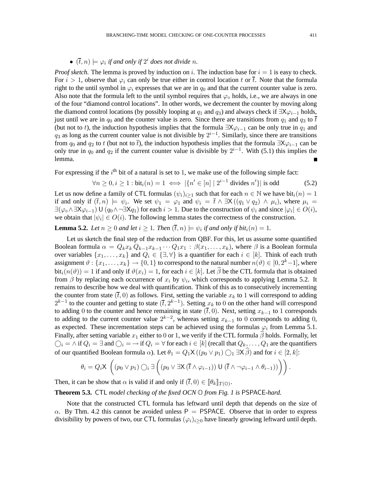## •  $(\overline{t}, n) \models \varphi_i$  *if and only if*  $2^i$  *does not divide n.*

*Proof sketch.* The lemma is proved by induction on i. The induction base for  $i = 1$  is easy to check. For  $i > 1$ , observe that  $\varphi_i$  can only be true either in control location t or  $\bar{t}$ . Note that the formula right to the until symbol in  $\varphi_i$  expresses that we are in  $q_0$  and that the current counter value is zero. Also note that the formula left to the until symbol requires that  $\varphi_{\diamond}$  holds, i.e., we are always in one of the four "diamond control locations". In other words, we decrement the counter by moving along the diamond control locations (by possibly looping at  $q_1$  and  $q_3$ ) and always check if  $\exists X \varphi_{i-1}$  holds, just until we are in  $q_0$  and the counter value is zero. Since there are transitions from  $q_1$  and  $q_3$  to  $\bar{t}$ (but not to t), the induction hypothesis implies that the formula  $\exists X\varphi_{i-1}$  can be only true in  $q_1$  and  $q_3$  as long as the current counter value is not divisible by  $2^{i-1}$ . Similarly, since there are transitions from  $q_0$  and  $q_2$  to t (but not to  $\overline{t}$ ), the induction hypothesis implies that the formula  $\exists X \varphi_{i-1}$  can be only true in  $q_0$  and  $q_2$  if the current counter value is divisible by  $2^{i-1}$ . With (5.1) this implies the lemma.

For expressing if the  $i<sup>th</sup>$  bit of a natural is set to 1, we make use of the following simple fact:

$$
\forall n \ge 0, i \ge 1 : \text{bit}_i(n) = 1 \iff |\{n' \in [n] \mid 2^{i-1} \text{ divides } n'\}| \text{ is odd}
$$
 (5.2)

Let us now define a family of CTL formulas  $(\psi_i)_{i\geq 1}$  such that for each  $n \in \mathbb{N}$  we have bit $i(n) = 1$ if and only if  $(\overline{t},n) \models \psi_i$ . We set  $\psi_1 = \varphi_1$  and  $\psi_i = \overline{t} \wedge \exists X ((q_1 \vee q_2) \wedge \mu_i)$ , where  $\mu_i =$  $\exists (\varphi \circ \land \exists X \varphi_{i-1}) \cup (q_0 \land \neg \exists X q_1)$  for each  $i > 1$ . Due to the construction of  $\psi_i$  and since  $|\varphi_i| \in O(i)$ , we obtain that  $|\psi_i| \in O(i)$ . The following lemma states the correctness of the construction.

**Lemma 5.2.** *Let*  $n \geq 0$  *and let*  $i \geq 1$ *. Then*  $(\overline{t}, n) \models \psi_i$  *if and only if bit<sub>i</sub>* $(n) = 1$ *.* 

Let us sketch the final step of the reduction from QBF. For this, let us assume some quantified Boolean formula  $\alpha = Q_k x_k Q_{k-1} x_{k-1} \cdots Q_1 x_1 : \beta(x_1, \ldots, x_k)$ , where  $\beta$  is a Boolean formula over variables  $\{x_1,\ldots,x_k\}$  and  $Q_i \in \{\exists,\forall\}$  is a quantifier for each  $i \in [k]$ . Think of each truth assignment  $\vartheta : \{x_1, \ldots, x_k\} \to \{0, 1\}$  to correspond to the natural number  $n(\vartheta) \in [0, 2^k - 1]$ , where  $bit_i(n(\vartheta)) = 1$  if and only if  $\vartheta(x_i) = 1$ , for each  $i \in [k]$ . Let  $\beta$  be the CTL formula that is obtained from  $\beta$  by replacing each occurrence of  $x_i$  by  $\psi_i$ , which corresponds to applying Lemma 5.2. It remains to describe how we deal with quantification. Think of this as to consecutively incrementing the counter from state  $(\bar{t}, 0)$  as follows. First, setting the variable  $x_k$  to 1 will correspond to adding  $2^{k-1}$  to the counter and getting to state  $(\bar{t}, 2^{k-1})$ . Setting  $x_k$  to 0 on the other hand will correspond to adding 0 to the counter and hence remaining in state  $(\bar{t}, 0)$ . Next, setting  $x_{k-1}$  to 1 corresponds to adding to the current counter value  $2^{k-2}$ , whereas setting  $x_{k-1}$  to 0 corresponds to adding 0, as expected. These incrementation steps can be achieved using the formulas  $\varphi_i$  from Lemma 5.1. Finally, after setting variable  $x_1$  either to 0 or 1, we verify if the CTL formula  $\hat{\beta}$  holds. Formally, let  $\bigcirc_i = \wedge$  if  $Q_i = \exists$  and  $\bigcirc_i = \rightarrow$  if  $Q_i = \forall$  for each  $i \in [k]$  (recall that  $Q_k, \ldots, Q_1$  are the quantifiers of our quantified Boolean formula  $\alpha$ ). Let  $\theta_1 = Q_1 \mathsf{X}((p_0 \vee p_1) \bigcirc_1 \exists \mathsf{X} \widehat{\beta})$  and for  $i \in [2, k]$ :

$$
\theta_i = Q_i \mathsf{X} \left( (p_0 \vee p_1) \bigcirc_i \exists \left( (p_0 \vee \exists \mathsf{X} \, (\overline{t} \wedge \varphi_{i-1})) \mathsf{U} \, (\overline{t} \wedge \neg \varphi_{i-1} \wedge \theta_{i-1})) \right) \right).
$$

Then, it can be show that  $\alpha$  is valid if and only if  $(\bar{t},0) \in [\![\theta_k]\!]_{T(\mathbb{O})}$ .

**Theorem 5.3.** CTL *model checking of the fixed OCN* O *from Fig. 1 is* PSPACE*-hard.*

Note that the constructed CTL formula has leftward until depth that depends on the size of  $\alpha$ . By Thm. 4.2 this cannot be avoided unless P = PSPACE. Observe that in order to express divisibility by powers of two, our CTL formulas  $(\varphi_i)_{i>0}$  have linearly growing leftward until depth.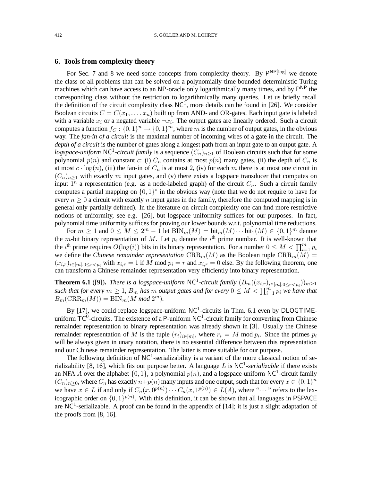#### **6. Tools from complexity theory**

For Sec. 7 and 8 we need some concepts from complexity theory. By  $P^{NP[log]}$  we denote the class of all problems that can be solved on a polynomially time bounded deterministic Turing machines which can have access to an NP-oracle only logarithmically many times, and by P<sup>NP</sup> the corresponding class without the restriction to logarithmically many queries. Let us briefly recall the definition of the circuit complexity class  $NC^1$ , more details can be found in [26]. We consider Boolean circuits  $C = C(x_1, \ldots, x_n)$  built up from AND- and OR-gates. Each input gate is labeled with a variable  $x_i$  or a negated variable  $\neg x_i$ . The output gates are linearly ordered. Such a circuit computes a function  $f_C: \{0,1\}^n \to \{0,1\}^m$ , where m is the number of output gates, in the obvious way. The *fan-in of a circuit* is the maximal number of incoming wires of a gate in the circuit. The *depth of a circuit* is the number of gates along a longest path from an input gate to an output gate. A *logspace-uniform* NC<sup>1</sup>-circuit family is a sequence  $(C_n)_{n\geq 1}$  of Boolean circuits such that for some polynomial  $p(n)$  and constant c: (i)  $C_n$  contains at most  $p(n)$  many gates, (ii) the depth of  $C_n$  is at most  $c \cdot \log(n)$ , (iii) the fan-in of  $C_n$  is at most 2, (iv) for each m there is at most one circuit in  $(C_n)_{n\geq 1}$  with exactly m input gates, and (v) there exists a logspace transducer that computes on input  $\overline{1}^n$  a representation (e.g. as a node-labeled graph) of the circuit  $C_n$ . Such a circuit family computes a partial mapping on  $\{0,1\}^*$  in the obvious way (note that we do not require to have for every  $n \geq 0$  a circuit with exactly n input gates in the family, therefore the computed mapping is in general only partially defined). In the literature on circuit complexity one can find more restrictive notions of uniformity, see e.g. [26], but logspace uniformity suffices for our purposes. In fact, polynomial time uniformity suffices for proving our lower bounds w.r.t. polynomial time reductions.

For  $m \geq 1$  and  $0 \leq M \leq 2^m - 1$  let  $\text{BIN}_m(M) = \text{bit}_m(M) \cdots \text{bit}_1(M) \in \{0, 1\}^m$  denote the *m*-bit binary representation of M. Let  $p_i$  denote the i<sup>th</sup> prime number. It is well-known that the i<sup>th</sup> prime requires  $O(\log(i))$  bits in its binary representation. For a number  $0 \leq M < \prod_{i=1}^{m} p_i$ we define the *Chinese remainder representation*  $CRR_m(M)$  as the Boolean tuple  $CRR_m(M)$  =  $(x_{i,r})_{i\in[m],0\leq r\leq p_i}$  with  $x_{i,r}=1$  if M mod  $p_i=r$  and  $x_{i,r}=0$  else. By the following theorem, one can transform a Chinese remainder representation very efficiently into binary representation.

**Theorem 6.1** ([9]). *There is a logspace-uniform*  $NC^1$ -circuit family  $(B_m((x_{i,r})_{i\in[m],0\leq r$ *such that for every*  $m \geq 1$ ,  $B_m$  *has*  $m$  *output gates and for every*  $0 \leq M < \prod_{i=1}^{m} p_i$  *we have that*  $B_m(\text{CRR}_m(M)) = \text{BIN}_m(M \text{ mod } 2^m).$ 

By [17], we could replace logspace-uniform  $NC<sup>1</sup>$ -circuits in Thm. 6.1 even by DLOGTIMEuniform  $TC^0$ -circuits. The existence of a P-uniform NC<sup>1</sup>-circuit family for converting from Chinese remainder representation to binary representation was already shown in [3]. Usually the Chinese remainder representation of M is the tuple  $(r_i)_{i \in [m]}$ , where  $r_i = M \mod p_i$ . Since the primes  $p_i$ will be always given in unary notation, there is no essential difference between this representation and our Chinese remainder representation. The latter is more suitable for our purpose.

The following definition of  $NC<sup>1</sup>$ -serializability is a variant of the more classical notion of serializability [8, 16], which fits our purpose better. A language L is  $NC<sup>1</sup>$ -serializable if there exists an NFA A over the alphabet  $\{0, 1\}$ , a polynomial  $p(n)$ , and a logspace-uniform NC<sup>1</sup>-circuit family  $(C_n)_{n\geq 0}$ , where  $C_n$  has exactly  $n+p(n)$  many inputs and one output, such that for every  $x \in \{0,1\}^n$ we have  $x \in L$  if and only if  $C_n(x, 0^{p(n)}) \cdots C_n(x, 1^{p(n)}) \in L(A)$ , where " $\cdots$ " refers to the lexicographic order on  $\{0,1\}^{p(n)}$ . With this definition, it can be shown that all languages in PSPACE are NC<sup>1</sup>-serializable. A proof can be found in the appendix of [14]; it is just a slight adaptation of the proofs from [8, 16].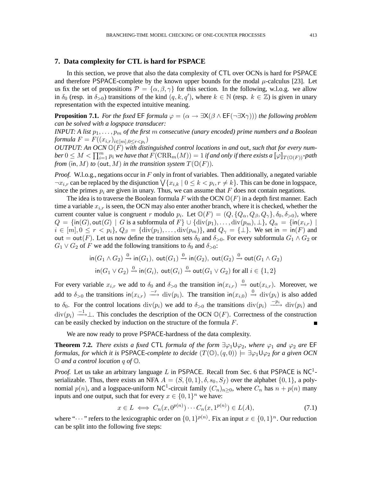## **7. Data complexity for CTL is hard for PSPACE**

In this section, we prove that also the data complexity of CTL over OCNs is hard for PSPACE and therefore PSPACE-complete by the known upper bounds for the modal  $\mu$ -calculus [23]. Let us fix the set of propositions  $\mathcal{P} = {\alpha, \beta, \gamma}$  for this section. In the following, w.l.o.g. we allow in  $\delta_0$  (resp. in  $\delta_{>0}$ ) transitions of the kind  $(q, k, q')$ , where  $k \in \mathbb{N}$  (resp.  $k \in \mathbb{Z}$ ) is given in unary representation with the expected intuitive meaning.

**Proposition 7.1.** *For the fixed* EF *formula*  $\varphi = (\alpha \rightarrow \exists X(\beta \land \text{EF}(\neg \exists X\gamma)))$  *the following problem can be solved with a logspace transducer:*

*INPUT: A list*  $p_1, \ldots, p_m$  *of the first* m *consecutive (unary encoded) prime numbers and a Boolean formula*  $F = F((x_{i,r})_{i \in [m], 0 \le r < p_i})$ 

*OUTPUT: An OCN*  $\mathbb{O}(F)$  *with distinguished control locations* in *and* out, *such that for every num* $ber\, 0\leq M< \prod_{i=1}^m p_i$  we have that  $\widetilde{F}(\mathrm{CRR}_m(M))=1$  if and only if there exists a  $[\![\varphi]\!]_{T(\mathbb{O}(F))}$ -path *from* (in, *M*) *to* (out, *M*) *in the transition system*  $T(\mathbb{O}(F))$ *.* 

*Proof.* W.l.o.g., negations occur in F only in front of variables. Then additionally, a negated variable  $\neg x_{i,r}$  can be replaced by the disjunction  $\bigvee \{x_{i,k} \mid 0 \leq k < p_i, r \neq k\}$ . This can be done in logspace, since the primes  $p_i$  are given in unary. Thus, we can assume that  $F$  does not contain negations.

The idea is to traverse the Boolean formula F with the OCN  $\mathbb{O}(F)$  in a depth first manner. Each time a variable  $x_{i,r}$  is seen, the OCN may also enter another branch, where it is checked, whether the current counter value is congruent r modulo  $p_i$ . Let  $\mathbb{O}(F) = (Q, \{Q_\alpha, Q_\beta, Q_\gamma\}, \delta_0, \delta_{>0})$ , where  $Q = {\text{in}(G), \text{out}(G) \mid G \text{ is a subformula of } F} \cup {\text{div}(p_1), \ldots, \text{div}(p_m), \perp}, Q_\alpha = {\text{in}(x_{i,r}) \mid G}$  $i \in [m], 0 \leq r < p_i$ ,  $Q_\beta = \{ \text{div}(p_1), \dots, \text{div}(p_m) \}$ , and  $Q_\gamma = \{\perp\}$ . We set in  $= \text{in}(F)$  and out = out(F). Let us now define the transition sets  $\delta_0$  and  $\delta_{>0}$ . For every subformula  $G_1 \wedge G_2$  or  $G_1 \vee G_2$  of F we add the following transitions to  $\delta_0$  and  $\delta_{>0}$ :

$$
\text{in}(G_1 \land G_2) \xrightarrow{0} \text{in}(G_1), \ \text{out}(G_1) \xrightarrow{0} \text{in}(G_2), \ \text{out}(G_2) \xrightarrow{0} \text{out}(G_1 \land G_2)
$$
\n
$$
\text{in}(G_1 \lor G_2) \xrightarrow{0} \text{in}(G_i), \ \text{out}(G_i) \xrightarrow{0} \text{out}(G_1 \lor G_2) \text{ for all } i \in \{1, 2\}
$$

For every variable  $x_{i,r}$  we add to  $\delta_0$  and  $\delta_{>0}$  the transition in $(x_{i,r}) \stackrel{0}{\to}$  out $(x_{i,r})$ . Moreover, we add to  $\delta_{>0}$  the transitions in $(x_{i,r}) \longrightarrow \text{div}(p_i)$ . The transition in $(x_{i,0}) \longrightarrow \text{div}(p_i)$  is also added to  $\delta_0$ . For the control locations div $(p_i)$  we add to  $\delta_{>0}$  the transitions div $(p_i) \xrightarrow{-p_i}$  div $(p_i)$  and  $\text{div}(p_i) \stackrel{-1}{\longrightarrow} \perp$ . This concludes the description of the OCN  $\mathbb{O}(F)$ . Correctness of the construction can be easily checked by induction on the structure of the formula  $F$ . Ē

We are now ready to prove PSPACE-hardness of the data complexity.

**Theorem 7.2.** *There exists a fixed* CTL *formula of the form*  $\exists \varphi_1 \cup \varphi_2$ *, where*  $\varphi_1$  *and*  $\varphi_2$  *are* EF *formulas, for which it is* PSPACE-*complete to decide*  $(T(\mathbb{O}), (q, 0)) \models \exists \varphi_1 \mathsf{U} \varphi_2$  *for a given OCN* O *and a control location* q *of* O*.*

*Proof.* Let us take an arbitrary language L in PSPACE. Recall from Sec. 6 that PSPACE is  $NC<sup>1</sup>$ serializable. Thus, there exists an NFA  $A = (S, \{0, 1\}, \delta, s_0, S_f)$  over the alphabet  $\{0, 1\}$ , a polynomial  $p(n)$ , and a logspace-uniform NC<sup>1</sup>-circuit family  $(C_n)_{n\geq 0}$ , where  $C_n$  has  $n + p(n)$  many inputs and one output, such that for every  $x \in \{0, 1\}^n$  we have:

$$
x \in L \iff C_n(x, 0^{p(n)}) \cdots C_n(x, 1^{p(n)}) \in L(A),\tag{7.1}
$$

where " $\cdots$ " refers to the lexicographic order on  $\{0,1\}^{p(n)}$ . Fix an input  $x \in \{0,1\}^n$ . Our reduction can be split into the following five steps: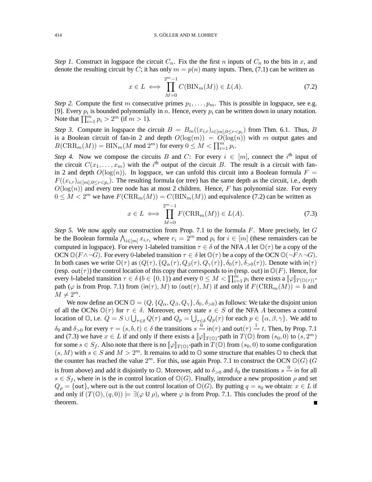*Step 1.* Construct in logspace the circuit  $C_n$ . Fix the the first n inputs of  $C_n$  to the bits in x, and denote the resulting circuit by C; it has only  $m = p(n)$  many inputs. Then, (7.1) can be written as

$$
x \in L \iff \prod_{M=0}^{2^m - 1} C(\text{BIN}_m(M)) \in L(A). \tag{7.2}
$$

*Step 2.* Compute the first m consecutive primes  $p_1, \ldots, p_m$ . This is possible in logspace, see e.g. [9]. Every  $p_i$  is bounded polynomially in n. Hence, every  $p_i$  can be written down in unary notation. Note that  $\prod_{i=1}^{m} p_i > 2^m$  (if  $m > 1$ ).

*Step 3.* Compute in logspace the circuit  $B = B_m((x_{i,r})_{i \in [m], 0 \le r < p_i})$  from Thm. 6.1. Thus, B is a Boolean circuit of fan-in 2 and depth  $O(log(m)) = O(log(n))$  with m output gates and  $B(\operatorname{CRR}_m(M)) = \operatorname{BIN}_m(M \text{ mod } 2^m)$  for every  $0 \leq M < \prod_{i=1}^m p_i$ .

*Step 4.* Now we compose the circuits B and C: For every  $i \in [m]$ , connect the i<sup>th</sup> input of the circuit  $C(x_1,...,x_m)$  with the i<sup>th</sup> output of the circuit B. The result is a circuit with fanin 2 and depth  $O(log(n))$ . In logspace, we can unfold this circuit into a Boolean formula  $F =$  $F((x_{i,r})_{i\in[m],0\leq r. The resulting formula (or tree) has the same depth as the circuit, i.e., depth$  $O(\log(n))$  and every tree node has at most 2 children. Hence, F has polynomial size. For every  $0 \leq M < 2^m$  we have  $F(\text{CRR}_m(M)) = C(\text{BIN}_m(M))$  and equivalence (7.2) can be written as

$$
x \in L \iff \prod_{M=0}^{2^m - 1} F(\text{CRR}_m(M)) \in L(A). \tag{7.3}
$$

*Step 5.* We now apply our construction from Prop. 7.1 to the formula F. More precisely, let G be the Boolean formula  $\bigwedge_{i \in [m]} x_{i,r_i}$  where  $r_i = 2^m \text{ mod } p_i$  for  $i \in [m]$  (these remainders can be computed in logspace). For every 1-labeled transition  $\tau \in \delta$  of the NFA A let  $\mathbb{O}(\tau)$  be a copy of the OCN  $\mathbb{O}(F \wedge \neg G)$ . For every 0-labeled transition  $\tau \in \delta$  let  $\mathbb{O}(\tau)$  be a copy of the OCN  $\mathbb{O}(\neg F \wedge \neg G)$ . In both cases we write  $\mathbb{O}(\tau)$  as  $(Q(\tau), \{Q_{\alpha}(\tau), Q_{\beta}(\tau), Q_{\gamma}(\tau)\}, \delta_0(\tau), \delta_{>0}(\tau))$ . Denote with  $\mathsf{in}(\tau)$ (resp. out( $\tau$ )) the control location of this copy that corresponds to in (resp. out) in  $\mathbb{O}(F)$ . Hence, for every b-labeled transition  $\tau \in \delta$  ( $b \in \{0, 1\}$ ) and every  $0 \leq M < \prod_{i=1}^{m} p_i$  there exists a  $[\![\varphi]\!]_{T(\mathbb{O}(\tau))}$ path ( $\varphi$  is from Prop. 7.1) from  $(in(\tau),M)$  to  $(out(\tau),M)$  if and only if  $F(CRR_m(M)) = b$  and  $M \neq 2^m$ .

We now define an OCN  $\mathbb{O} = (Q, \{Q_\alpha, Q_\beta, Q_\gamma\}, \delta_0, \delta_{>0})$  as follows: We take the disjoint union of all the OCNs  $\mathbb{O}(\tau)$  for  $\tau \in \delta$ . Moreover, every state  $s \in S$  of the NFA A becomes a control location of  $\mathbb{O}$ , i.e.  $Q = S \cup \bigcup_{\tau \in \delta} Q(\tau)$  and  $Q_p = \bigcup_{\tau \in \delta} Q_p(\tau)$  for each  $p \in \{\alpha, \beta, \gamma\}$ . We add to  $\delta_0$  and  $\delta_{>0}$  for every  $\tau = (s, b, t) \in \delta$  the transitions  $s \stackrel{0}{\to} \text{in}(\tau)$  and  $\text{out}(\tau) \stackrel{1}{\to} t$ . Then, by Prop. 7.1 and (7.3) we have  $x \in L$  if and only if there exists a  $[\![\varphi]\!]_{T(\mathbb{O})}$ -path in  $T(\mathbb{O})$  from  $(s_0, 0)$  to  $(s, 2^m)$ for some  $s \in S_f$ . Also note that there is no  $[\![\varphi]\!]_{T(\mathbb{O})}$ -path in  $T(\mathbb{O})$  from  $(s_0, 0)$  to some configuration  $(s, M)$  with  $s \in S$  and  $M > 2^m$ . It remains to add to  $\mathbb O$  some structure that enables  $\mathbb O$  to check that the counter has reached the value  $2^m$ . For this, use again Prop. 7.1 to construct the OCN  $\mathbb{O}(G)$  (G) is from above) and add it disjointly to  $\mathbb{O}$ . Moreover, add to  $\delta_{>0}$  and  $\delta_0$  the transitions  $s \stackrel{0}{\to}$  in for all  $s \in S_f$ , where in is the in control location of  $\mathbb{O}(G)$ . Finally, introduce a new proposition  $\rho$  and set  $Q_\rho = \{ \text{out} \}$ , where out is the out control location of  $\mathbb{O}(G)$ . By putting  $q = s_0$  we obtain:  $x \in L$  if and only if  $(T(\mathbb{O}), (q, 0)) \models \exists (\varphi \cup \rho)$ , where  $\varphi$  is from Prop. 7.1. This concludes the proof of the theorem.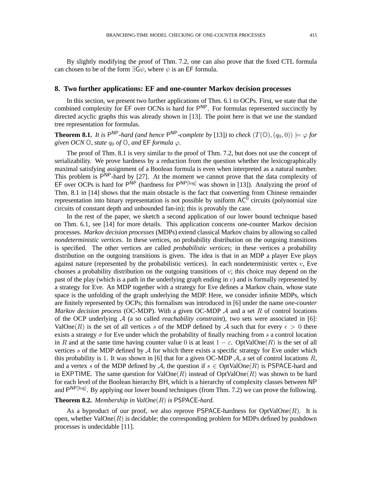By slightly modifying the proof of Thm. 7.2, one can also prove that the fixed CTL formula can chosen to be of the form  $\exists G\psi$ , where  $\psi$  is an EF formula.

#### **8. Two further applications: EF and one-counter Markov decision processes**

In this section, we present two further applications of Thm. 6.1 to OCPs. First, we state that the combined complexity for EF over OCNs is hard for P<sup>NP</sup>. For formulas represented succinctly by directed acyclic graphs this was already shown in [13]. The point here is that we use the standard tree representation for formulas.

**Theorem 8.1.** It is  $P^{NP}$ -hard (and hence  $P^{NP}$ -complete by [13]) to check  $(T(\mathbb{O}), (q_0, 0)) \models \varphi$  for *given OCN*  $\mathbb{O}$ *, state*  $q_0$  *of*  $\mathbb{O}$ *, and*  $\mathsf{EF}$  *formula*  $\varphi$ *.* 

The proof of Thm. 8.1 is very similar to the proof of Thm. 7.2, but does not use the concept of serializability. We prove hardness by a reduction from the question whether the lexicographically maximal satisfying assignment of a Boolean formula is even when interpreted as a natural number. This problem is  $\overrightarrow{P}^{NP}$ -hard by [27]. At the moment we cannot prove that the data complexity of EF over OCPs is hard for  $P^{\text{NP}}$  (hardness for  $P^{\text{NP}[\text{log}]}$  was shown in [13]). Analyzing the proof of Thm. 8.1 in [14] shows that the main obstacle is the fact that converting from Chinese remainder representation into binary representation is not possible by uniform  $AC^0$  circuits (polynomial size circuits of constant depth and unbounded fan-in); this is provably the case.

In the rest of the paper, we sketch a second application of our lower bound technique based on Thm. 6.1, see [14] for more details. This application concerns one-counter Markov decision processes. *Markov decision processes* (MDPs) extend classical Markov chains by allowing so called *nondeterministic vertices*. In these vertices, no probability distribution on the outgoing transitions is specified. The other vertices are called *probabilistic vertices*; in these vertices a probability distribution on the outgoing transitions is given. The idea is that in an MDP a player Eve plays against nature (represented by the probabilistic vertices). In each nondeterministic vertex  $v$ , Eve chooses a probability distribution on the outgoing transitions of  $v$ ; this choice may depend on the past of the play (which is a path in the underlying graph ending in  $v$ ) and is formally represented by a strategy for Eve. An MDP together with a strategy for Eve defines a Markov chain, whose state space is the unfolding of the graph underlying the MDP. Here, we consider infinite MDPs, which are finitely represented by OCPs; this formalism was introduced in [6] under the name *one-counter Markov decision process* (OC-MDP). With a given OC-MDP A and a set R of control locations of the OCP underlying A (a so called *reachability constraint*), two sets were associated in [6]: ValOne(R) is the set of all vertices s of the MDP defined by A such that for every  $\epsilon > 0$  there exists a strategy  $\sigma$  for Eve under which the probability of finally reaching from s a control location in R and at the same time having counter value 0 is at least  $1 - \varepsilon$ . OptValOne(R) is the set of all vertices s of the MDP defined by  $A$  for which there exists a specific strategy for Eve under which this probability is 1. It was shown in [6] that for a given OC-MDP  $\mathcal{A}$ , a set of control locations  $R$ , and a vertex s of the MDP defined by A, the question if  $s \in OptValue(R)$  is PSPACE-hard and in EXPTIME. The same question for ValOne(R) instead of OptValOne(R) was shown to be hard for each level of the Boolean hierarchy BH, which is a hierarchy of complexity classes between NP and P<sup>NP[log]</sup>. By applying our lower bound techniques (from Thm. 7.2) we can prove the following.

#### **Theorem 8.2.** *Membership in ValOne*(R) *is* PSPACE*-hard.*

As a byproduct of our proof, we also reprove PSPACE-hardness for  $OptValOne(R)$ . It is open, whether  $ValOne(R)$  is decidable; the corresponding problem for MDPs defined by pushdown processes is undecidable [11].